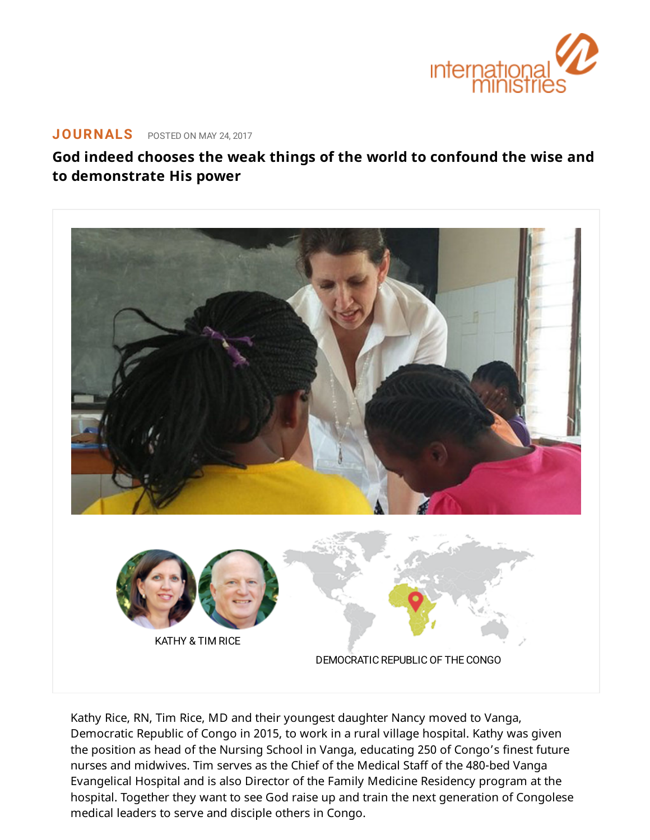

## **[JOURNALS](https://www.internationalministries.org/category/journals/)** POSTED ON MAY 24, 2017

## **God indeed chooses the weak things of the world to confound the wise and to demonstrate His power**



Kathy Rice, RN, Tim Rice, MD and their youngest daughter Nancy moved to Vanga, Democratic Republic of Congo in 2015, to work in a rural village hospital. Kathy was given the position as head of the Nursing School in Vanga, educating 250 of Congo's finest future nurses and midwives. Tim serves as the Chief of the Medical Staff of the 480-bed Vanga Evangelical Hospital and is also Director of the Family Medicine Residency program at the hospital. Together they want to see God raise up and train the next generation of Congolese medical leaders to serve and disciple others in Congo.